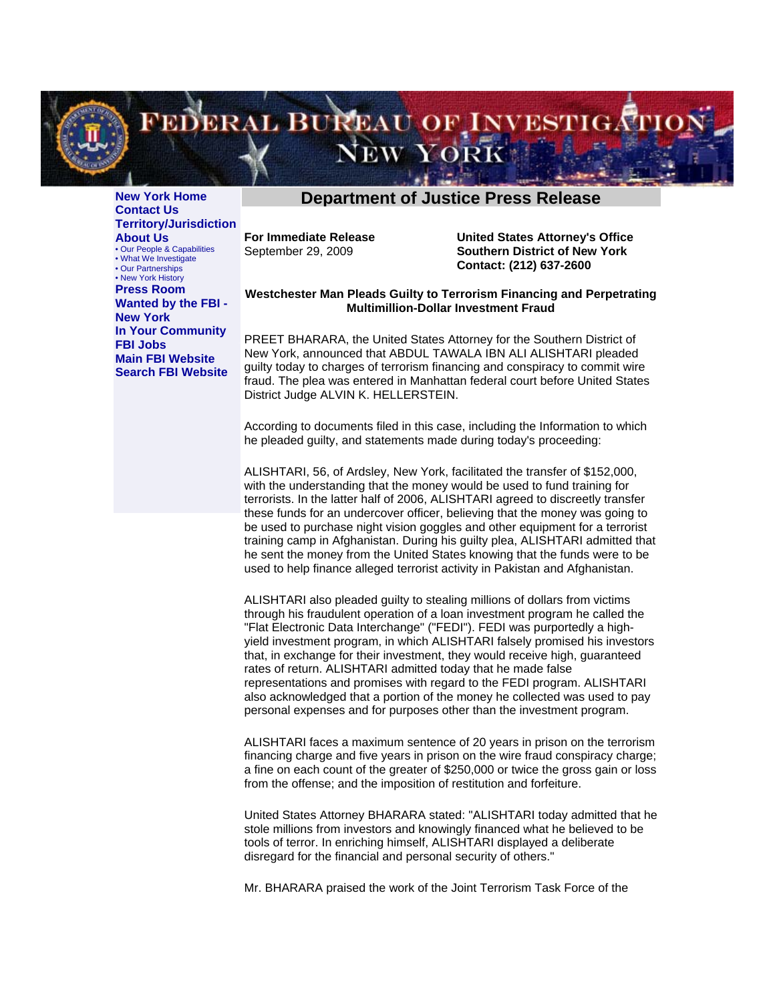

**[New York Home](http://newyork.fbi.gov/index.html) [Contact Us](http://newyork.fbi.gov/contact.htm) [Territory/Jurisdiction](http://newyork.fbi.gov/division_map.htm) About Us** [• Our People & Capabilities](http://newyork.fbi.gov/people.htm) [• What We Investigate](http://newyork.fbi.gov/priorities.htm) [• Our Partnerships](http://newyork.fbi.gov/partners.htm) [• New York History](http://newyork.fbi.gov/history.htm) **[Press Room](http://newyork.fbi.gov/press.htm) [Wanted by the FBI -](http://www.fbi.gov/wanted/fo/nywanted.htm)  [New York](http://www.fbi.gov/wanted/fo/nywanted.htm)**

**[In Your Community](http://newyork.fbi.gov/outreach.htm) [FBI Jobs](http://newyork.fbi.gov/dojpressrel/employment.htm) [Main FBI Website](http://www.fbi.gov/) [Search FBI Website](http://search.fbi.gov/)**

## **[Department of Justice Press Release](http://newyork.fbi.gov/index.html)**

**For Immediate Release**  September 29, 2009

**United States Attorney's Office Southern District of New York Contact: (212) 637-2600**

## **Westchester Man Pleads Guilty to Terrorism Financing and Perpetrating Multimillion-Dollar Investment Fraud**

PREET BHARARA, the United States Attorney for the Southern District of New York, announced that ABDUL TAWALA IBN ALI ALISHTARI pleaded guilty today to charges of terrorism financing and conspiracy to commit wire fraud. The plea was entered in Manhattan federal court before United States District Judge ALVIN K. HELLERSTEIN.

According to documents filed in this case, including the Information to which he pleaded guilty, and statements made during today's proceeding:

ALISHTARI, 56, of Ardsley, New York, facilitated the transfer of \$152,000, with the understanding that the money would be used to fund training for terrorists. In the latter half of 2006, ALISHTARI agreed to discreetly transfer these funds for an undercover officer, believing that the money was going to be used to purchase night vision goggles and other equipment for a terrorist training camp in Afghanistan. During his guilty plea, ALISHTARI admitted that he sent the money from the United States knowing that the funds were to be used to help finance alleged terrorist activity in Pakistan and Afghanistan.

ALISHTARI also pleaded guilty to stealing millions of dollars from victims through his fraudulent operation of a loan investment program he called the "Flat Electronic Data Interchange" ("FEDI"). FEDI was purportedly a highyield investment program, in which ALISHTARI falsely promised his investors that, in exchange for their investment, they would receive high, guaranteed rates of return. ALISHTARI admitted today that he made false representations and promises with regard to the FEDI program. ALISHTARI also acknowledged that a portion of the money he collected was used to pay personal expenses and for purposes other than the investment program.

ALISHTARI faces a maximum sentence of 20 years in prison on the terrorism financing charge and five years in prison on the wire fraud conspiracy charge; a fine on each count of the greater of \$250,000 or twice the gross gain or loss from the offense; and the imposition of restitution and forfeiture.

United States Attorney BHARARA stated: "ALISHTARI today admitted that he stole millions from investors and knowingly financed what he believed to be tools of terror. In enriching himself, ALISHTARI displayed a deliberate disregard for the financial and personal security of others."

Mr. BHARARA praised the work of the Joint Terrorism Task Force of the